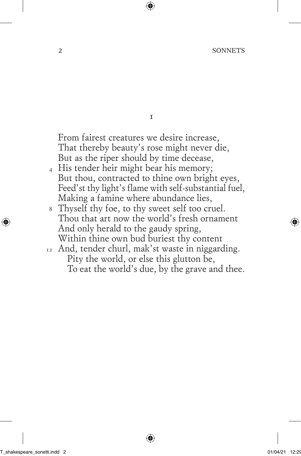$\mathbf{r}$ 

From fairest creatures we desire increase, That thereby beauty's rose might never die, But as the riper should by time decease,

- 4 His tender heir might bear his memory; But thou, contracted to thine own bright eyes, Feed'st thy light's flame with self-substantial fuel, Making a famine where abundance lies,
- 8 Thyself thy foe, to thy sweet self too cruel. Thou that art now the world's fresh ornament And only herald to the gaudy spring, Within thine own bud buriest thy content
- 12 And, tender churl, mak'st waste in niggarding. Pity the world, or else this glutton be, To eat the world's due, by the grave and thee.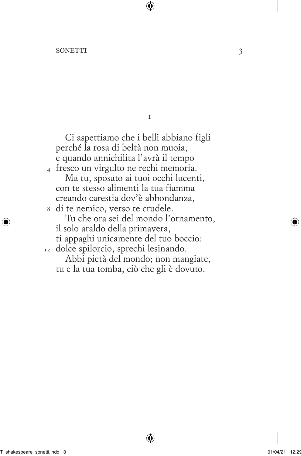## sonetti 3

4 fresco un virgulto ne rechi memoria. 8 di te nemico, verso te crudele. 12 dolce spilorcio, sprechi lesinando. Ci aspettiamo che i belli abbiano figli perché la rosa di beltà non muoia, e quando annichilita l'avrà il tempo Ma tu, sposato ai tuoi occhi lucenti, con te stesso alimenti la tua fiamma creando carestia dov'è abbondanza, Tu che ora sei del mondo l'ornamento, il solo araldo della primavera, ti appaghi unicamente del tuo boccio: Abbi pietà del mondo; non mangiate, tu e la tua tomba, ciò che gli è dovuto.

 $\mathbf{r}$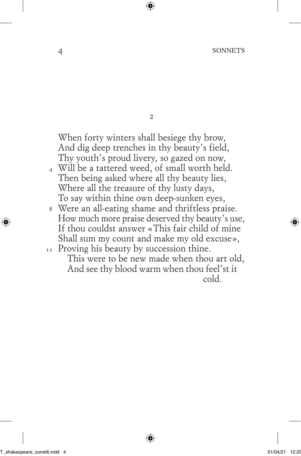$\overline{2}$ 

When forty winters shall besiege thy brow, And dig deep trenches in thy beauty's field, Thy youth's proud livery, so gazed on now,

- 4 Will be a tattered weed, of small worth held. Then being asked where all thy beauty lies, Where all the treasure of thy lusty days, To say within thine own deep-sunken eyes,
- 8 Were an all-eating shame and thriftless praise. How much more praise deserved thy beauty's use, If thou couldst answer «This fair child of mine Shall sum my count and make my old excuse»,
- 12 Proving his beauty by succession thine. This were to be new made when thou art old, And see thy blood warm when thou feel'st it cold.